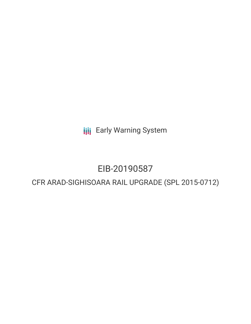**III** Early Warning System

# EIB-20190587

# CFR ARAD-SIGHISOARA RAIL UPGRADE (SPL 2015-0712)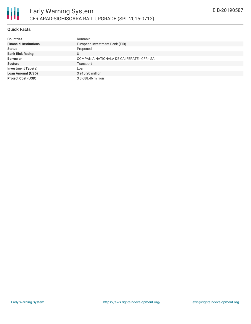## **Quick Facts**

| <b>Countries</b>              | Romania                                     |
|-------------------------------|---------------------------------------------|
| <b>Financial Institutions</b> | European Investment Bank (EIB)              |
| <b>Status</b>                 | Proposed                                    |
| <b>Bank Risk Rating</b>       | U                                           |
| <b>Borrower</b>               | COMPANIA NATIONALA DE CAI FERATE - CFR - SA |
| <b>Sectors</b>                | Transport                                   |
| <b>Investment Type(s)</b>     | Loan                                        |
| <b>Loan Amount (USD)</b>      | \$910.20 million                            |
| <b>Project Cost (USD)</b>     | \$3,688.46 million                          |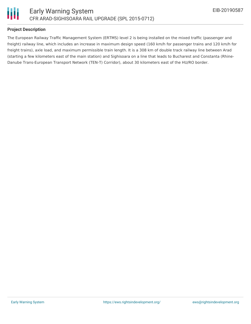

#### **Project Description**

The European Railway Traffic Management System (ERTMS) level 2 is being installed on the mixed traffic (passenger and freight) railway line, which includes an increase in maximum design speed (160 km/h for passenger trains and 120 km/h for freight trains), axle load, and maximum permissible train length. It is a 308 km of double track railway line between Arad (starting a few kilometers east of the main station) and Sighisoara on a line that leads to Bucharest and Constanta (Rhine-Danube Trans-European Transport Network (TEN-T) Corridor), about 30 kilometers east of the HU/RO border.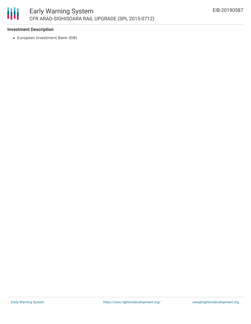

#### **Investment Description**

European Investment Bank (EIB)